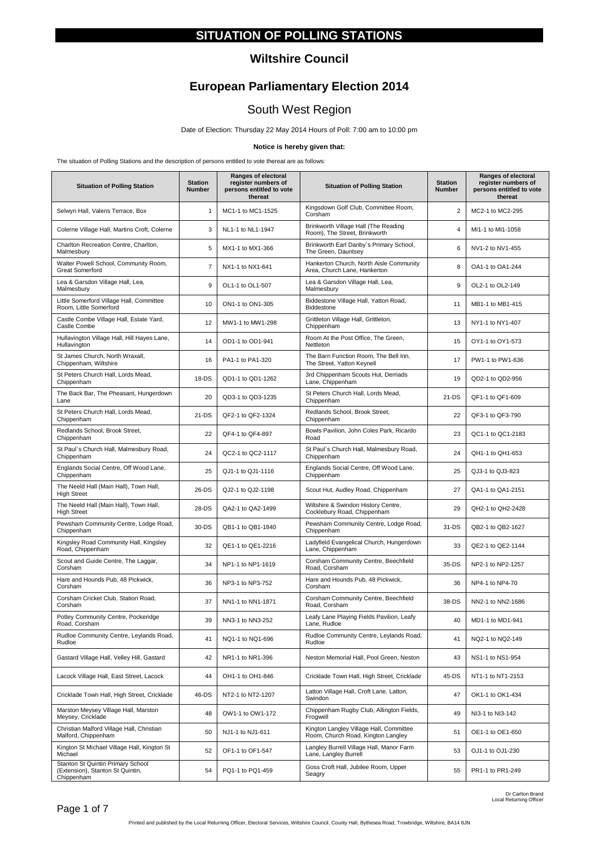### **SITUATION OF POLLING STATIONS**

#### **Wiltshire Council**

# **European Parliamentary Election 2014**

# South West Region

Date of Election: Thursday 22 May 2014 Hours of Poll: 7:00 am to 10:00 pm

#### **Notice is hereby given that:**

The situation of Polling Stations and the description of persons entitled to vote thereat are as follows:

| <b>Situation of Polling Station</b>                                                 | <b>Station</b><br><b>Number</b> | <b>Ranges of electoral</b><br>register numbers of<br>persons entitled to vote<br>thereat | <b>Situation of Polling Station</b>                                           | <b>Station</b><br><b>Number</b> | Ranges of electoral<br>register numbers of<br>persons entitled to vote<br>thereat |
|-------------------------------------------------------------------------------------|---------------------------------|------------------------------------------------------------------------------------------|-------------------------------------------------------------------------------|---------------------------------|-----------------------------------------------------------------------------------|
| Selwyn Hall, Valens Terrace, Box                                                    | 1                               | MC1-1 to MC1-1525                                                                        | Kingsdown Golf Club, Committee Room,<br>Corsham                               | $\overline{2}$                  | MC2-1 to MC2-295                                                                  |
| Colerne Village Hall, Martins Croft, Colerne                                        | 3                               | NL1-1 to NL1-1947                                                                        | Brinkworth Village Hall (The Reading<br>Room), The Street, Brinkworth         | $\overline{4}$                  | MI1-1 to MI1-1058                                                                 |
| Charlton Recreation Centre, Charlton,<br>Malmesbury                                 | 5                               | MX1-1 to MX1-366                                                                         | Brinkworth Earl Danby's Primary School,<br>The Green, Dauntsey                | 6                               | NV1-2 to NV1-455                                                                  |
| Walter Powell School, Community Room,<br><b>Great Somerford</b>                     | $\overline{7}$                  | NX1-1 to NX1-641                                                                         | Hankerton Church, North Aisle Community<br>Area, Church Lane, Hankerton       | 8                               | OA1-1 to OA1-244                                                                  |
| Lea & Garsdon Village Hall, Lea,<br>Malmesbury                                      | 9                               | OL1-1 to OL1-507                                                                         | Lea & Garsdon Village Hall, Lea,<br>Malmesbury                                | 9                               | OL2-1 to OL2-149                                                                  |
| Little Somerford Village Hall, Committee<br>Room, Little Somerford                  | 10                              | ON1-1 to ON1-305                                                                         | Biddestone Village Hall, Yatton Road,<br>Biddestone                           | 11                              | MB1-1 to MB1-415                                                                  |
| Castle Combe Village Hall, Estate Yard,<br>Castle Combe                             | 12                              | MW1-1 to MW1-298                                                                         | Grittleton Village Hall, Grittleton,<br>Chippenham                            | 13                              | NY1-1 to NY1-407                                                                  |
| Hullavington Village Hall, Hill Hayes Lane,<br>Hullavington                         | 14                              | OD1-1 to OD1-941                                                                         | Room At the Post Office, The Green,<br>Nettleton                              | 15                              | OY1-1 to OY1-573                                                                  |
| St James Church, North Wraxall,<br>Chippenham, Wiltshire                            | 16                              | PA1-1 to PA1-320                                                                         | The Barn Function Room, The Bell Inn,<br>The Street, Yatton Keynell           | 17                              | PW1-1 to PW1-636                                                                  |
| St Peters Church Hall, Lords Mead,<br>Chippenham                                    | 18-DS                           | QD1-1 to QD1-1262                                                                        | 3rd Chippenham Scouts Hut, Derriads<br>Lane, Chippenham                       | 19                              | QD2-1 to QD2-956                                                                  |
| The Back Bar, The Pheasant, Hungerdown<br>Lane                                      | 20                              | QD3-1 to QD3-1235                                                                        | St Peters Church Hall, Lords Mead,<br>Chippenham                              | 21-DS                           | QF1-1 to QF1-609                                                                  |
| St Peters Church Hall, Lords Mead,<br>Chippenham                                    | 21-DS                           | QF2-1 to QF2-1324                                                                        | Redlands School, Brook Street,<br>Chippenham                                  | 22                              | QF3-1 to QF3-790                                                                  |
| Redlands School, Brook Street,<br>Chippenham                                        | 22                              | QF4-1 to QF4-897                                                                         | Bowls Pavilion, John Coles Park, Ricardo<br>Road                              | 23                              | QC1-1 to QC1-2183                                                                 |
| St Paul's Church Hall, Malmesbury Road,<br>Chippenham                               | 24                              | QC2-1 to QC2-1117                                                                        | St Paul's Church Hall, Malmesbury Road,<br>Chippenham                         | 24                              | QH1-1 to QH1-653                                                                  |
| Englands Social Centre, Off Wood Lane,<br>Chippenham                                | 25                              | QJ1-1 to QJ1-1116                                                                        | Englands Social Centre, Off Wood Lane,<br>Chippenham                          | 25                              | QJ3-1 to QJ3-823                                                                  |
| The Neeld Hall (Main Hall), Town Hall,<br><b>High Street</b>                        | 26-DS                           | QJ2-1 to QJ2-1198                                                                        | Scout Hut, Audley Road, Chippenham                                            | 27                              | QA1-1 to QA1-2151                                                                 |
| The Neeld Hall (Main Hall), Town Hall,<br><b>High Street</b>                        | 28-DS                           | QA2-1 to QA2-1499                                                                        | Wiltshire & Swindon History Centre,<br>Cocklebury Road, Chippenham            | 29                              | QH2-1 to QH2-2428                                                                 |
| Pewsham Community Centre, Lodge Road,<br>Chippenham                                 | 30-DS                           | QB1-1 to QB1-1840                                                                        | Pewsham Community Centre, Lodge Road,<br>Chippenham                           | 31-DS                           | QB2-1 to QB2-1627                                                                 |
| Kingsley Road Community Hall, Kingsley<br>Road, Chippenham                          | 32                              | QE1-1 to QE1-2216                                                                        | Ladyfield Evangelical Church, Hungerdown<br>Lane, Chippenham                  | 33                              | QE2-1 to QE2-1144                                                                 |
| Scout and Guide Centre, The Laggar,<br>Corsham                                      | 34                              | NP1-1 to NP1-1619                                                                        | Corsham Community Centre, Beechfield<br>Road, Corsham                         | 35-DS                           | NP2-1 to NP2-1257                                                                 |
| Hare and Hounds Pub, 48 Pickwick,<br>Corsham                                        | 36                              | NP3-1 to NP3-752                                                                         | Hare and Hounds Pub, 48 Pickwick,<br>Corsham                                  | 36                              | NP4-1 to NP4-70                                                                   |
| Corsham Cricket Club, Station Road,<br>Corsham                                      | 37                              | NN1-1 to NN1-1871                                                                        | Corsham Community Centre, Beechfield<br>Road, Corsham                         | 38-DS                           | NN2-1 to NN2-1686                                                                 |
| Potley Community Centre, Pockeridge<br>Road, Corsham                                | 39                              | NN3-1 to NN3-252                                                                         | Leafy Lane Playing Fields Pavilion, Leafy<br>Lane, Rudloe                     | 40                              | MD1-1 to MD1-941                                                                  |
| Rudloe Community Centre, Leylands Road,<br>Rudloe                                   | 41                              | NQ1-1 to NQ1-696                                                                         | Rudloe Community Centre, Leylands Road,<br>Rudloe                             | 41                              | NQ2-1 to NQ2-149                                                                  |
| Gastard Village Hall, Velley Hill, Gastard                                          | 42                              | NR1-1 to NR1-396                                                                         | Neston Memorial Hall, Pool Green, Neston                                      | 43                              | NS1-1 to NS1-954                                                                  |
| Lacock Village Hall, East Street, Lacock                                            | 44                              | OH1-1 to OH1-846                                                                         | Cricklade Town Hall, High Street, Cricklade                                   | 45-DS                           | NT1-1 to NT1-2153                                                                 |
| Cricklade Town Hall, High Street, Cricklade                                         | 46-DS                           | NT2-1 to NT2-1207                                                                        | Latton Village Hall, Croft Lane, Latton,<br>Swindon                           | 47                              | OK1-1 to OK1-434                                                                  |
| Marston Meysey Village Hall, Marston<br>Meysey, Cricklade                           | 48                              | OW1-1 to OW1-172                                                                         | Chippenham Rugby Club, Allington Fields,<br>Frogwell                          | 49                              | NI3-1 to NI3-142                                                                  |
| Christian Malford Village Hall, Christian<br>Malford, Chippenham                    | 50                              | NJ1-1 to NJ1-611                                                                         | Kington Langley Village Hall, Committee<br>Room, Church Road, Kington Langley | 51                              | OE1-1 to OE1-650                                                                  |
| Kington St Michael Village Hall, Kington St<br>Michael                              | 52                              | OF1-1 to OF1-547                                                                         | Langley Burrell Village Hall, Manor Farm<br>Lane, Langley Burrell             | 53                              | OJ1-1 to OJ1-230                                                                  |
| Stanton St Quintin Primary School<br>(Extension), Stanton St Quintin,<br>Chippenham | 54                              | PQ1-1 to PQ1-459                                                                         | Goss Croft Hall, Jubilee Room, Upper<br>Seagry                                | 55                              | PR1-1 to PR1-249                                                                  |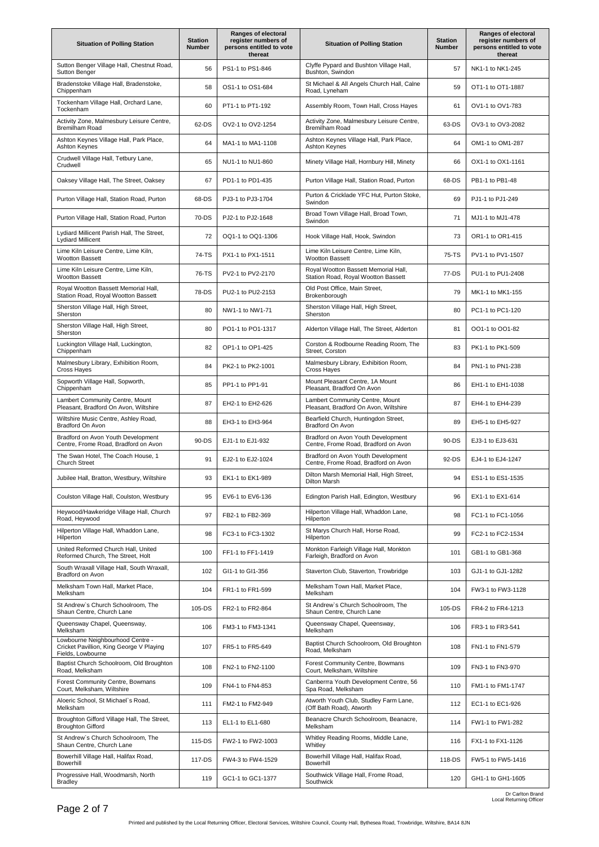| <b>Situation of Polling Station</b>                                                               | <b>Station</b><br><b>Number</b> | Ranges of electoral<br>register numbers of<br>persons entitled to vote<br>thereat | <b>Situation of Polling Station</b>                                         | <b>Station</b><br><b>Number</b> | Ranges of electoral<br>register numbers of<br>persons entitled to vote<br>thereat |
|---------------------------------------------------------------------------------------------------|---------------------------------|-----------------------------------------------------------------------------------|-----------------------------------------------------------------------------|---------------------------------|-----------------------------------------------------------------------------------|
| Sutton Benger Village Hall, Chestnut Road,<br>Sutton Benger                                       | 56                              | PS1-1 to PS1-846                                                                  | Clyffe Pypard and Bushton Village Hall,<br>Bushton, Swindon                 | 57                              | NK1-1 to NK1-245                                                                  |
| Bradenstoke Village Hall, Bradenstoke,<br>Chippenham                                              | 58                              | OS1-1 to OS1-684                                                                  | St Michael & All Angels Church Hall, Calne<br>Road, Lyneham                 | 59                              | OT1-1 to OT1-1887                                                                 |
| Tockenham Village Hall, Orchard Lane,<br>Tockenham                                                | 60                              | PT1-1 to PT1-192                                                                  | Assembly Room, Town Hall, Cross Hayes                                       | 61                              | OV1-1 to OV1-783                                                                  |
| Activity Zone, Malmesbury Leisure Centre,<br>Bremilham Road                                       | 62-DS                           | OV2-1 to OV2-1254                                                                 | Activity Zone, Malmesbury Leisure Centre,<br>Bremilham Road                 | 63-DS                           | OV3-1 to OV3-2082                                                                 |
| Ashton Keynes Village Hall, Park Place,<br>Ashton Keynes                                          | 64                              | MA1-1 to MA1-1108                                                                 | Ashton Keynes Village Hall, Park Place,<br>Ashton Keynes                    | 64                              | OM1-1 to OM1-287                                                                  |
| Crudwell Village Hall, Tetbury Lane,<br>Crudwell                                                  | 65                              | NU1-1 to NU1-860                                                                  | Minety Village Hall, Hornbury Hill, Minety                                  | 66                              | OX1-1 to OX1-1161                                                                 |
| Oaksey Village Hall, The Street, Oaksey                                                           | 67                              | PD1-1 to PD1-435                                                                  | Purton Village Hall, Station Road, Purton                                   | 68-DS                           | PB1-1 to PB1-48                                                                   |
| Purton Village Hall, Station Road, Purton                                                         | 68-DS                           | PJ3-1 to PJ3-1704                                                                 | Purton & Cricklade YFC Hut, Purton Stoke,<br>Swindon                        | 69                              | PJ1-1 to PJ1-249                                                                  |
| Purton Village Hall, Station Road, Purton                                                         | 70-DS                           | PJ2-1 to PJ2-1648                                                                 | Broad Town Village Hall, Broad Town,<br>Swindon                             | 71                              | MJ1-1 to MJ1-478                                                                  |
| Lydiard Millicent Parish Hall, The Street,<br><b>Lydiard Millicent</b>                            | 72                              | OQ1-1 to OQ1-1306                                                                 | Hook Village Hall, Hook, Swindon                                            | 73                              | OR1-1 to OR1-415                                                                  |
| Lime Kiln Leisure Centre, Lime Kiln,<br><b>Wootton Bassett</b>                                    | 74-TS                           | PX1-1 to PX1-1511                                                                 | Lime Kiln Leisure Centre, Lime Kiln,<br><b>Wootton Bassett</b>              | 75-TS                           | PV1-1 to PV1-1507                                                                 |
| Lime Kiln Leisure Centre, Lime Kiln,<br><b>Wootton Bassett</b>                                    | 76-TS                           | PV2-1 to PV2-2170                                                                 | Royal Wootton Bassett Memorial Hall,<br>Station Road, Royal Wootton Bassett | 77-DS                           | PU1-1 to PU1-2408                                                                 |
| Royal Wootton Bassett Memorial Hall,<br>Station Road, Royal Wootton Bassett                       | 78-DS                           | PU2-1 to PU2-2153                                                                 | Old Post Office, Main Street,<br>Brokenborough                              | 79                              | MK1-1 to MK1-155                                                                  |
| Sherston Village Hall, High Street,<br>Sherston                                                   | 80                              | NW1-1 to NW1-71                                                                   | Sherston Village Hall, High Street,<br>Sherston                             | 80                              | PC1-1 to PC1-120                                                                  |
| Sherston Village Hall, High Street,<br>Sherston                                                   | 80                              | PO1-1 to PO1-1317                                                                 | Alderton Village Hall, The Street, Alderton                                 | 81                              | OO1-1 to OO1-82                                                                   |
| Luckington Village Hall, Luckington,<br>Chippenham                                                | 82                              | OP1-1 to OP1-425                                                                  | Corston & Rodbourne Reading Room, The<br>Street, Corston                    | 83                              | PK1-1 to PK1-509                                                                  |
| Malmesbury Library, Exhibition Room,<br>Cross Hayes                                               | 84                              | PK2-1 to PK2-1001                                                                 | Malmesbury Library, Exhibition Room,<br><b>Cross Hayes</b>                  | 84                              | PN1-1 to PN1-238                                                                  |
| Sopworth Village Hall, Sopworth,<br>Chippenham                                                    | 85                              | PP1-1 to PP1-91                                                                   | Mount Pleasant Centre, 1A Mount<br>Pleasant, Bradford On Avon               | 86                              | EH1-1 to EH1-1038                                                                 |
| Lambert Community Centre, Mount<br>Pleasant, Bradford On Avon, Wiltshire                          | 87                              | EH2-1 to EH2-626                                                                  | Lambert Community Centre, Mount<br>Pleasant, Bradford On Avon, Wiltshire    | 87                              | EH4-1 to EH4-239                                                                  |
| Wiltshire Music Centre, Ashley Road,<br>Bradford On Avon                                          | 88                              | EH3-1 to EH3-964                                                                  | Bearfield Church, Huntingdon Street,<br>Bradford On Avon                    | 89                              | EH5-1 to EH5-927                                                                  |
| Bradford on Avon Youth Development<br>Centre, Frome Road, Bradford on Avon                        | 90-DS                           | EJ1-1 to EJ1-932                                                                  | Bradford on Avon Youth Development<br>Centre, Frome Road, Bradford on Avon  | 90-DS                           | EJ3-1 to EJ3-631                                                                  |
| The Swan Hotel, The Coach House, 1<br><b>Church Street</b>                                        | 91                              | EJ2-1 to EJ2-1024                                                                 | Bradford on Avon Youth Development<br>Centre, Frome Road, Bradford on Avon  | 92-DS                           | EJ4-1 to EJ4-1247                                                                 |
| Jubilee Hall, Bratton, Westbury, Wiltshire                                                        | 93                              | EK1-1 to EK1-989                                                                  | Dilton Marsh Memorial Hall, High Street,<br>Dilton Marsn                    | 94                              | ES1-1 to ES1-1535                                                                 |
| Coulston Village Hall, Coulston, Westbury                                                         | 95                              | EV6-1 to EV6-136                                                                  | Edington Parish Hall, Edington, Westbury                                    | 96                              | EX1-1 to EX1-614                                                                  |
| Heywood/Hawkeridge Village Hall, Church<br>Road, Heywood                                          | 97                              | FB2-1 to FB2-369                                                                  | Hilperton Village Hall, Whaddon Lane,<br>Hilperton                          | 98                              | FC1-1 to FC1-1056                                                                 |
| Hilperton Village Hall, Whaddon Lane,<br>Hilperton                                                | 98                              | FC3-1 to FC3-1302                                                                 | St Marys Church Hall, Horse Road,<br>Hilperton                              | 99                              | FC2-1 to FC2-1534                                                                 |
| United Reformed Church Hall, United<br>Reformed Church, The Street, Holt                          | 100                             | FF1-1 to FF1-1419                                                                 | Monkton Farleigh Village Hall, Monkton<br>Farleigh, Bradford on Avon        | 101                             | GB1-1 to GB1-368                                                                  |
| South Wraxall Village Hall, South Wraxall,<br>Bradford on Avon                                    | 102                             | GI1-1 to GI1-356                                                                  | Staverton Club, Staverton, Trowbridge                                       | 103                             | GJ1-1 to GJ1-1282                                                                 |
| Melksham Town Hall, Market Place,<br>Melksham                                                     | 104                             | FR1-1 to FR1-599                                                                  | Melksham Town Hall, Market Place,<br>Melksham                               | 104                             | FW3-1 to FW3-1128                                                                 |
| St Andrew's Church Schoolroom, The<br>Shaun Centre, Church Lane                                   | 105-DS                          | FR2-1 to FR2-864                                                                  | St Andrew's Church Schoolroom, The<br>Shaun Centre, Church Lane             | 105-DS                          | FR4-2 to FR4-1213                                                                 |
| Queensway Chapel, Queensway,<br>Melksham                                                          | 106                             | FM3-1 to FM3-1341                                                                 | Queensway Chapel, Queensway,<br>Melksham                                    | 106                             | FR3-1 to FR3-541                                                                  |
| Lowbourne Neighbourhood Centre -<br>Cricket Pavillion, King George V Playing<br>Fields, Lowbourne | 107                             | FR5-1 to FR5-649                                                                  | Baptist Church Schoolroom, Old Broughton<br>Road, Melksham                  | 108                             | FN1-1 to FN1-579                                                                  |
| Baptist Church Schoolroom, Old Broughton<br>Road, Melksham                                        | 108                             | FN2-1 to FN2-1100                                                                 | Forest Community Centre, Bowmans<br>Court, Melksham, Wiltshire              | 109                             | FN3-1 to FN3-970                                                                  |
| Forest Community Centre, Bowmans<br>Court, Melksham, Wiltshire                                    | 109                             | FN4-1 to FN4-853                                                                  | Canberrra Youth Development Centre, 56<br>Spa Road, Melksham                | 110                             | FM1-1 to FM1-1747                                                                 |
| Aloeric School, St Michael's Road,<br>Melksham                                                    | 111                             | FM2-1 to FM2-949                                                                  | Atworth Youth Club, Studley Farm Lane,<br>(Off Bath Road), Atworth          | 112                             | EC1-1 to EC1-926                                                                  |
| Broughton Gifford Village Hall, The Street,<br><b>Broughton Gifford</b>                           | 113                             | EL1-1 to EL1-680                                                                  | Beanacre Church Schoolroom, Beanacre,<br>Melksham                           | 114                             | FW1-1 to FW1-282                                                                  |
| St Andrew's Church Schoolroom, The<br>Shaun Centre, Church Lane                                   | 115-DS                          | FW2-1 to FW2-1003                                                                 | Whitley Reading Rooms, Middle Lane,<br>Whitley                              | 116                             | FX1-1 to FX1-1126                                                                 |
| Bowerhill Village Hall, Halifax Road,<br>Bowerhill                                                | 117-DS                          | FW4-3 to FW4-1529                                                                 | Bowerhill Village Hall, Halifax Road,<br>Bowerhill                          | 118-DS                          | FW5-1 to FW5-1416                                                                 |
| Progressive Hall, Woodmarsh, North<br><b>Bradley</b>                                              | 119                             | GC1-1 to GC1-1377                                                                 | Southwick Village Hall, Frome Road,<br>Southwick                            | 120                             | GH1-1 to GH1-1605                                                                 |

Dr Carlton Brand Local Returning Officer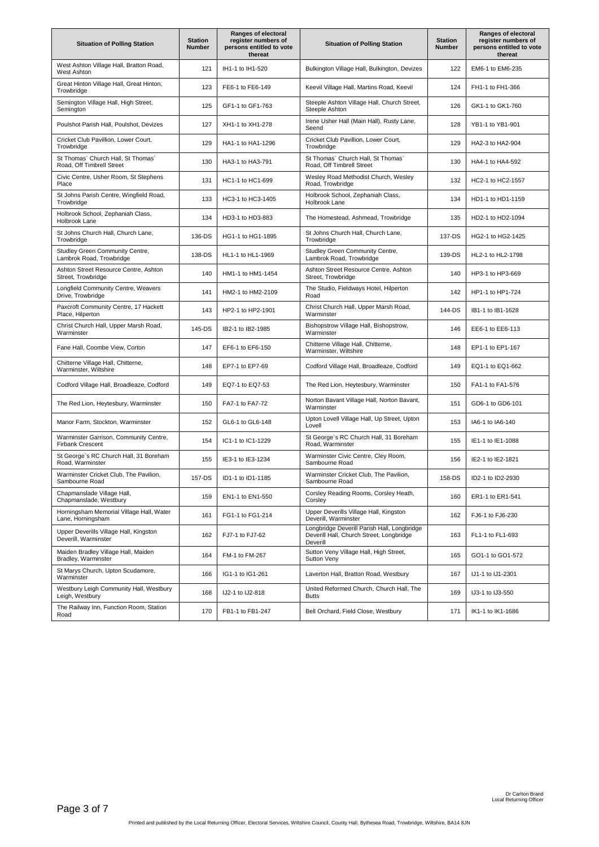| <b>Situation of Polling Station</b>                             | <b>Station</b><br>Number | <b>Ranges of electoral</b><br>register numbers of<br>persons entitled to vote<br>thereat | <b>Situation of Polling Station</b>                                                                 | <b>Station</b><br><b>Number</b> | Ranges of electoral<br>register numbers of<br>persons entitled to vote<br>thereat |
|-----------------------------------------------------------------|--------------------------|------------------------------------------------------------------------------------------|-----------------------------------------------------------------------------------------------------|---------------------------------|-----------------------------------------------------------------------------------|
| West Ashton Village Hall, Bratton Road,<br>West Ashton          | 121                      | IH1-1 to IH1-520                                                                         | Bulkington Village Hall, Bulkington, Devizes                                                        | 122                             | EM6-1 to EM6-235                                                                  |
| Great Hinton Village Hall, Great Hinton,<br>Trowbridge          | 123                      | FE6-1 to FE6-149                                                                         | Keevil Village Hall, Martins Road, Keevil                                                           | 124                             | FH1-1 to FH1-366                                                                  |
| Semington Village Hall, High Street,<br>Semington               | 125                      | GF1-1 to GF1-763                                                                         | Steeple Ashton Village Hall, Church Street,<br>Steeple Ashton                                       | 126                             | GK1-1 to GK1-760                                                                  |
| Poulshot Parish Hall, Poulshot, Devizes                         | 127                      | XH1-1 to XH1-278                                                                         | Irene Usher Hall (Main Hall), Rusty Lane,<br>Seend                                                  | 128                             | YB1-1 to YB1-901                                                                  |
| Cricket Club Pavillion, Lower Court,<br>Trowbridge              | 129                      | HA1-1 to HA1-1296                                                                        | Cricket Club Pavillion, Lower Court,<br>Trowbridge                                                  | 129                             | HA2-3 to HA2-904                                                                  |
| St Thomas' Church Hall, St Thomas'<br>Road, Off Timbrell Street | 130                      | HA3-1 to HA3-791                                                                         | St Thomas' Church Hall, St Thomas'<br>Road, Off Timbrell Street                                     | 130                             | HA4-1 to HA4-592                                                                  |
| Civic Centre, Usher Room, St Stephens<br>Place                  | 131                      | HC1-1 to HC1-699                                                                         | Wesley Road Methodist Church, Wesley<br>Road, Trowbridge                                            | 132                             | HC2-1 to HC2-1557                                                                 |
| St Johns Parish Centre, Wingfield Road,<br>Trowbridge           | 133                      | HC3-1 to HC3-1405                                                                        | Holbrook School, Zephaniah Class,<br>Holbrook Lane                                                  | 134                             | HD1-1 to HD1-1159                                                                 |
| Holbrook School, Zephaniah Class,<br>Holbrook Lane              | 134                      | HD3-1 to HD3-883                                                                         | The Homestead, Ashmead, Trowbridge                                                                  | 135                             | HD2-1 to HD2-1094                                                                 |
| St Johns Church Hall, Church Lane,<br>Trowbridge                | 136-DS                   | HG1-1 to HG1-1895                                                                        | St Johns Church Hall, Church Lane,<br>Trowbridge                                                    | 137-DS                          | HG2-1 to HG2-1425                                                                 |
| Studley Green Community Centre,<br>Lambrok Road, Trowbridge     | 138-DS                   | HL1-1 to HL1-1969                                                                        | Studley Green Community Centre,<br>Lambrok Road, Trowbridge                                         | 139-DS                          | HL2-1 to HL2-1798                                                                 |
| Ashton Street Resource Centre, Ashton<br>Street, Trowbridge     | 140                      | HM1-1 to HM1-1454                                                                        | Ashton Street Resource Centre, Ashton<br>Street, Trowbridge                                         | 140                             | HP3-1 to HP3-669                                                                  |
| Longfield Community Centre, Weavers<br>Drive, Trowbridge        | 141                      | HM2-1 to HM2-2109                                                                        | The Studio, Fieldways Hotel, Hilperton<br>Road                                                      | 142                             | HP1-1 to HP1-724                                                                  |
| Paxcroft Community Centre, 17 Hackett<br>Place, Hilperton       | 143                      | HP2-1 to HP2-1901                                                                        | Christ Church Hall, Upper Marsh Road,<br>Warminster                                                 | 144-DS                          | IB1-1 to IB1-1628                                                                 |
| Christ Church Hall, Upper Marsh Road,<br>Warminster             | 145-DS                   | IB2-1 to IB2-1985                                                                        | Bishopstrow Village Hall, Bishopstrow,<br>Warminster                                                | 146                             | EE6-1 to EE6-113                                                                  |
| Fane Hall, Coombe View, Corton                                  | 147                      | EF6-1 to EF6-150                                                                         | Chitterne Village Hall, Chitterne,<br>Warminster, Wiltshire                                         | 148                             | EP1-1 to EP1-167                                                                  |
| Chitterne Village Hall, Chitterne,<br>Warminster, Wiltshire     | 148                      | EP7-1 to EP7-69                                                                          | Codford Village Hall, Broadleaze, Codford                                                           | 149                             | EQ1-1 to EQ1-662                                                                  |
| Codford Village Hall, Broadleaze, Codford                       | 149                      | EQ7-1 to EQ7-53                                                                          | The Red Lion, Heytesbury, Warminster                                                                | 150                             | FA1-1 to FA1-576                                                                  |
| The Red Lion, Heytesbury, Warminster                            | 150                      | FA7-1 to FA7-72                                                                          | Norton Bavant Village Hall, Norton Bavant,<br>Warminster                                            | 151                             | GD6-1 to GD6-101                                                                  |
| Manor Farm, Stockton, Warminster                                | 152                      | GL6-1 to GL6-148                                                                         | Upton Lovell Village Hall, Up Street, Upton<br>Lovell                                               | 153                             | IA6-1 to IA6-140                                                                  |
| Warminster Garrison, Community Centre,<br>Firbank Crescent      | 154                      | IC1-1 to IC1-1229                                                                        | St George's RC Church Hall, 31 Boreham<br>Road, Warminster                                          | 155                             | IE1-1 to IE1-1088                                                                 |
| St George's RC Church Hall, 31 Boreham<br>Road. Warminster      | 155                      | IE3-1 to IE3-1234                                                                        | Warminster Civic Centre, Cley Room,<br>Sambourne Road                                               | 156                             | IE2-1 to IE2-1821                                                                 |
| Warminster Cricket Club, The Pavilion,<br>Sambourne Road        | 157-DS                   | ID1-1 to ID1-1185                                                                        | Warminster Cricket Club, The Pavilion,<br>Sambourne Road                                            | 158-DS                          | ID2-1 to ID2-2930                                                                 |
| Chapmanslade Village Hall,<br>Chapmanslade, Westbury            | 159                      | EN1-1 to EN1-550                                                                         | Corsley Reading Rooms, Corsley Heath,<br>Corsley                                                    | 160                             | ER1-1 to ER1-541                                                                  |
| Horningsham Memorial Village Hall, Water<br>Lane, Horningsham   | 161                      | FG1-1 to FG1-214                                                                         | Upper Deverills Village Hall, Kingston<br>Deverill, Warminster                                      | 162                             | FJ6-1 to FJ6-230                                                                  |
| Upper Deverills Village Hall, Kingston<br>Deverill, Warminster  | 162                      | FJ7-1 to FJ7-62                                                                          | Longbridge Deverill Parish Hall, Longbridge<br>Deverill Hall, Church Street, Longbridge<br>Deverill | 163                             | FL1-1 to FL1-693                                                                  |
| Maiden Bradley Village Hall, Maiden<br>Bradley, Warminster      | 164                      | FM-1 to FM-267                                                                           | Sutton Veny Village Hall, High Street,<br><b>Sutton Veny</b>                                        | 165                             | GO1-1 to GO1-572                                                                  |
| St Marys Church, Upton Scudamore,<br>Warminster                 | 166                      | IG1-1 to IG1-261                                                                         | Laverton Hall, Bratton Road, Westbury                                                               | 167                             | IJ1-1 to IJ1-2301                                                                 |
| Westbury Leigh Community Hall, Westbury<br>Leigh, Westbury      | 168                      | IJ2-1 to IJ2-818                                                                         | United Reformed Church, Church Hall, The<br><b>Butts</b>                                            | 169                             | IJ3-1 to IJ3-550                                                                  |
| The Railway Inn, Function Room, Station<br>Road                 | 170                      | FB1-1 to FB1-247                                                                         | Bell Orchard, Field Close, Westbury                                                                 | 171                             | IK1-1 to IK1-1686                                                                 |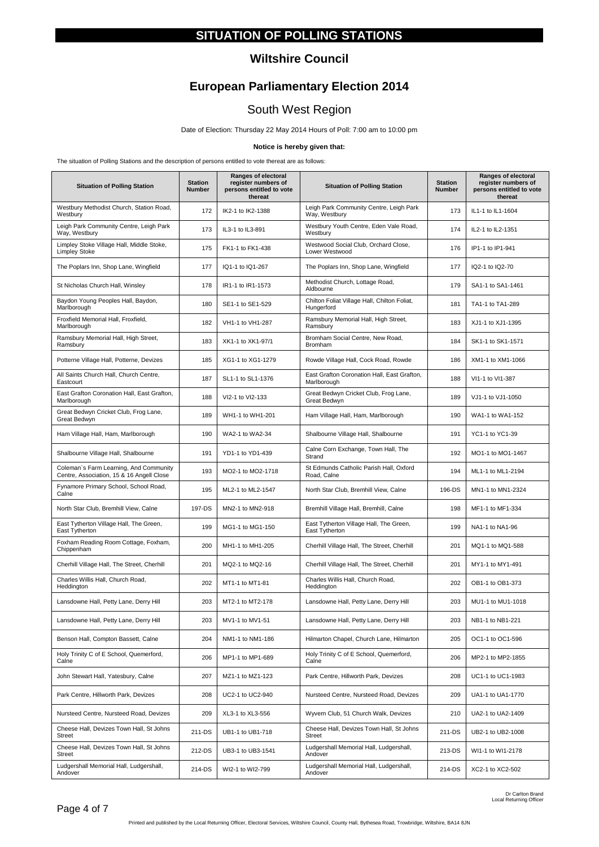### **SITUATION OF POLLING STATIONS**

#### **Wiltshire Council**

# **European Parliamentary Election 2014**

# South West Region

Date of Election: Thursday 22 May 2014 Hours of Poll: 7:00 am to 10:00 pm

#### **Notice is hereby given that:**

The situation of Polling Stations and the description of persons entitled to vote thereat are as follows:

| <b>Situation of Polling Station</b>                                                 | <b>Station</b><br>Number | Ranges of electoral<br>register numbers of<br>persons entitled to vote<br>thereat | <b>Situation of Polling Station</b>                        | <b>Station</b><br><b>Number</b> | Ranges of electoral<br>register numbers of<br>persons entitled to vote<br>thereat |
|-------------------------------------------------------------------------------------|--------------------------|-----------------------------------------------------------------------------------|------------------------------------------------------------|---------------------------------|-----------------------------------------------------------------------------------|
| Westbury Methodist Church, Station Road,<br>Westbury                                | 172                      | IK2-1 to IK2-1388                                                                 | Leigh Park Community Centre, Leigh Park<br>Way, Westbury   | 173                             | IL1-1 to IL1-1604                                                                 |
| Leigh Park Community Centre, Leigh Park<br>Way, Westbury                            | 173                      | IL3-1 to IL3-891                                                                  | Westbury Youth Centre, Eden Vale Road,<br>Westbury         | 174                             | IL2-1 to IL2-1351                                                                 |
| Limpley Stoke Village Hall, Middle Stoke,<br><b>Limpley Stoke</b>                   | 175                      | FK1-1 to FK1-438                                                                  | Westwood Social Club, Orchard Close,<br>Lower Westwood     | 176                             | IP1-1 to IP1-941                                                                  |
| The Poplars Inn, Shop Lane, Wingfield                                               | 177                      | IQ1-1 to IQ1-267                                                                  | The Poplars Inn, Shop Lane, Wingfield                      | 177                             | IQ2-1 to IQ2-70                                                                   |
| St Nicholas Church Hall, Winsley                                                    | 178                      | IR1-1 to IR1-1573                                                                 | Methodist Church, Lottage Road,<br>Aldbourne               | 179                             | SA1-1 to SA1-1461                                                                 |
| Baydon Young Peoples Hall, Baydon,<br>Marlborough                                   | 180                      | SE1-1 to SE1-529                                                                  | Chilton Foliat Village Hall, Chilton Foliat,<br>Hungerford | 181                             | TA1-1 to TA1-289                                                                  |
| Froxfield Memorial Hall, Froxfield,<br>Marlborough                                  | 182                      | VH1-1 to VH1-287                                                                  | Ramsbury Memorial Hall, High Street,<br>Ramsbury           | 183                             | XJ1-1 to XJ1-1395                                                                 |
| Ramsbury Memorial Hall, High Street,<br>Ramsbury                                    | 183                      | XK1-1 to XK1-97/1                                                                 | Bromham Social Centre, New Road,<br>Bromham                | 184                             | SK1-1 to SK1-1571                                                                 |
| Potterne Village Hall, Potterne, Devizes                                            | 185                      | XG1-1 to XG1-1279                                                                 | Rowde Village Hall, Cock Road, Rowde                       | 186                             | XM1-1 to XM1-1066                                                                 |
| All Saints Church Hall, Church Centre,<br>Eastcourt                                 | 187                      | SL1-1 to SL1-1376                                                                 | East Grafton Coronation Hall, East Grafton,<br>Marlborough | 188                             | VI1-1 to VI1-387                                                                  |
| East Grafton Coronation Hall, East Grafton,<br>Marlborough                          | 188                      | VI2-1 to VI2-133                                                                  | Great Bedwyn Cricket Club, Frog Lane,<br>Great Bedwyn      | 189                             | VJ1-1 to VJ1-1050                                                                 |
| Great Bedwyn Cricket Club, Frog Lane,<br>Great Bedwyn                               | 189                      | WH1-1 to WH1-201                                                                  | Ham Village Hall, Ham, Marlborough                         | 190                             | WA1-1 to WA1-152                                                                  |
| Ham Village Hall, Ham, Marlborough                                                  | 190                      | WA2-1 to WA2-34                                                                   | Shalbourne Village Hall, Shalbourne                        | 191                             | YC1-1 to YC1-39                                                                   |
| Shalbourne Village Hall, Shalbourne                                                 | 191                      | YD1-1 to YD1-439                                                                  | Calne Corn Exchange, Town Hall, The<br>Strand              | 192                             | MO1-1 to MO1-1467                                                                 |
| Coleman's Farm Learning, And Community<br>Centre, Association, 15 & 16 Angell Close | 193                      | MO2-1 to MO2-1718                                                                 | St Edmunds Catholic Parish Hall, Oxford<br>Road, Calne     | 194                             | ML1-1 to ML1-2194                                                                 |
| Fynamore Primary School, School Road,<br>Calne                                      | 195                      | ML2-1 to ML2-1547                                                                 | North Star Club, Bremhill View, Calne                      | 196-DS                          | MN1-1 to MN1-2324                                                                 |
| North Star Club, Bremhill View, Calne                                               | 197-DS                   | MN2-1 to MN2-918                                                                  | Bremhill Village Hall, Bremhill, Calne                     | 198                             | MF1-1 to MF1-334                                                                  |
| East Tytherton Village Hall, The Green,<br>East Tytherton                           | 199                      | MG1-1 to MG1-150                                                                  | East Tytherton Village Hall, The Green,<br>East Tytherton  | 199                             | NA1-1 to NA1-96                                                                   |
| Foxham Reading Room Cottage, Foxham,<br>Chippenham                                  | 200                      | MH1-1 to MH1-205                                                                  | Cherhill Village Hall, The Street, Cherhill                | 201                             | MQ1-1 to MQ1-588                                                                  |
| Cherhill Village Hall, The Street, Cherhill                                         | 201                      | MQ2-1 to MQ2-16                                                                   | Cherhill Village Hall, The Street, Cherhill                | 201                             | MY1-1 to MY1-491                                                                  |
| Charles Willis Hall, Church Road,<br>Heddington                                     | 202                      | MT1-1 to MT1-81                                                                   | Charles Willis Hall, Church Road,<br>Heddington            | 202                             | OB1-1 to OB1-373                                                                  |
| Lansdowne Hall, Petty Lane, Derry Hill                                              | 203                      | MT2-1 to MT2-178                                                                  | Lansdowne Hall, Petty Lane, Derry Hill                     | 203                             | MU1-1 to MU1-1018                                                                 |
| Lansdowne Hall, Petty Lane, Derry Hill                                              | 203                      | MV1-1 to MV1-51                                                                   | Lansdowne Hall, Petty Lane, Derry Hill                     | 203                             | NB1-1 to NB1-221                                                                  |
| Benson Hall, Compton Bassett, Calne                                                 | 204                      | NM1-1 to NM1-186                                                                  | Hilmarton Chapel, Church Lane, Hilmarton                   | 205                             | OC1-1 to OC1-596                                                                  |
| Holy Trinity C of E School, Quemerford,<br>Calne                                    | 206                      | MP1-1 to MP1-689                                                                  | Holy Trinity C of E School, Quemerford,<br>Calne           | 206                             | MP2-1 to MP2-1855                                                                 |
| John Stewart Hall, Yatesbury, Calne                                                 | 207                      | MZ1-1 to MZ1-123                                                                  | Park Centre, Hillworth Park, Devizes                       | 208                             | UC1-1 to UC1-1983                                                                 |
| Park Centre, Hillworth Park, Devizes                                                | 208                      | UC2-1 to UC2-940                                                                  | Nursteed Centre, Nursteed Road, Devizes                    | 209                             | UA1-1 to UA1-1770                                                                 |
| Nursteed Centre, Nursteed Road, Devizes                                             | 209                      | XL3-1 to XL3-556                                                                  | Wyvern Club, 51 Church Walk, Devizes                       | 210                             | UA2-1 to UA2-1409                                                                 |
| Cheese Hall, Devizes Town Hall, St Johns<br><b>Street</b>                           | 211-DS                   | UB1-1 to UB1-718                                                                  | Cheese Hall, Devizes Town Hall, St Johns<br>Street         | 211-DS                          | UB2-1 to UB2-1008                                                                 |
| Cheese Hall, Devizes Town Hall, St Johns<br><b>Street</b>                           | 212-DS                   | UB3-1 to UB3-1541                                                                 | Ludgershall Memorial Hall, Ludgershall,<br>Andover         | 213-DS                          | WI1-1 to WI1-2178                                                                 |
| Ludgershall Memorial Hall, Ludgershall,<br>Andover                                  | 214-DS                   | WI2-1 to WI2-799                                                                  | Ludgershall Memorial Hall, Ludgershall,<br>Andover         | 214-DS                          | XC2-1 to XC2-502                                                                  |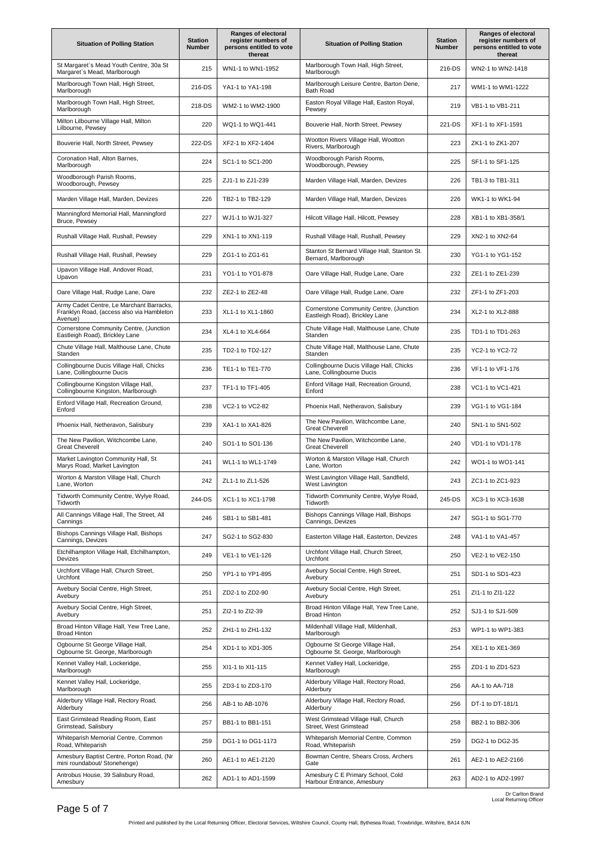| <b>Situation of Polling Station</b>                                                              | <b>Station</b><br><b>Number</b> | Ranges of electoral<br>register numbers of<br>persons entitled to vote<br>thereat | <b>Situation of Polling Station</b>                                       | <b>Station</b><br><b>Number</b> | Ranges of electoral<br>register numbers of<br>persons entitled to vote<br>thereat |
|--------------------------------------------------------------------------------------------------|---------------------------------|-----------------------------------------------------------------------------------|---------------------------------------------------------------------------|---------------------------------|-----------------------------------------------------------------------------------|
| St Margaret's Mead Youth Centre, 30a St<br>Margaret's Mead, Marlborough                          | 215                             | WN1-1 to WN1-1952                                                                 | Marlborough Town Hall, High Street,<br>Marlborough                        | 216-DS                          | WN2-1 to WN2-1418                                                                 |
| Marlborough Town Hall, High Street,<br>Marlborough                                               | 216-DS                          | YA1-1 to YA1-198                                                                  | Marlborough Leisure Centre, Barton Dene,<br><b>Bath Road</b>              | 217                             | WM1-1 to WM1-1222                                                                 |
| Marlborough Town Hall, High Street,<br>Marlborough                                               | 218-DS                          | WM2-1 to WM2-1900                                                                 | Easton Royal Village Hall, Easton Royal,<br>Pewsey                        | 219                             | VB1-1 to VB1-211                                                                  |
| Milton Lilbourne Village Hall, Milton<br>Lilbourne, Pewsey                                       | 220                             | WQ1-1 to WQ1-441                                                                  | Bouverie Hall, North Street, Pewsey                                       | 221-DS                          | XF1-1 to XF1-1591                                                                 |
| Bouverie Hall, North Street, Pewsey                                                              | 222-DS                          | XF2-1 to XF2-1404                                                                 | Wootton Rivers Village Hall, Wootton<br>Rivers, Marlborough               | 223                             | ZK1-1 to ZK1-207                                                                  |
| Coronation Hall, Alton Barnes,<br>Marlborough                                                    | 224                             | SC1-1 to SC1-200                                                                  | Woodborough Parish Rooms,<br>Woodborough, Pewsey                          | 225                             | SF1-1 to SF1-125                                                                  |
| Woodborough Parish Rooms,<br>Woodborough, Pewsey                                                 | 225                             | ZJ1-1 to ZJ1-239                                                                  | Marden Village Hall, Marden, Devizes                                      | 226                             | TB1-3 to TB1-311                                                                  |
| Marden Village Hall, Marden, Devizes                                                             | 226                             | TB2-1 to TB2-129                                                                  | Marden Village Hall, Marden, Devizes                                      | 226                             | WK1-1 to WK1-94                                                                   |
| Manningford Memorial Hall, Manningford<br>Bruce, Pewsey                                          | 227                             | WJ1-1 to WJ1-327                                                                  | Hilcott Village Hall, Hilcott, Pewsey                                     | 228                             | XB1-1 to XB1-358/1                                                                |
| Rushall Village Hall, Rushall, Pewsey                                                            | 229                             | XN1-1 to XN1-119                                                                  | Rushall Village Hall, Rushall, Pewsey                                     | 229                             | XN2-1 to XN2-64                                                                   |
| Rushall Village Hall, Rushall, Pewsey                                                            | 229                             | ZG1-1 to ZG1-61                                                                   | Stanton St Bernard Village Hall, Stanton St.<br>Bernard, Marlborough      | 230                             | YG1-1 to YG1-152                                                                  |
| Upavon Village Hall, Andover Road,<br>Upavon                                                     | 231                             | YO1-1 to YO1-878                                                                  | Oare Village Hall, Rudge Lane, Oare                                       | 232                             | ZE1-1 to ZE1-239                                                                  |
| Oare Village Hall, Rudge Lane, Oare                                                              | 232                             | ZE2-1 to ZE2-48                                                                   | Oare Village Hall, Rudge Lane, Oare                                       | 232                             | ZF1-1 to ZF1-203                                                                  |
| Army Cadet Centre, Le Marchant Barracks,<br>Franklyn Road, (access also via Hambleton<br>Avenue) | 233                             | XL1-1 to XL1-1860                                                                 | Cornerstone Community Centre, (Junction<br>Eastleigh Road), Brickley Lane | 234                             | XL2-1 to XL2-888                                                                  |
| Cornerstone Community Centre, (Junction<br>Eastleigh Road), Brickley Lane                        | 234                             | XL4-1 to XL4-664                                                                  | Chute Village Hall, Malthouse Lane, Chute<br>Standen                      | 235                             | TD1-1 to TD1-263                                                                  |
| Chute Village Hall, Malthouse Lane, Chute<br>Standen                                             | 235                             | TD2-1 to TD2-127                                                                  | Chute Village Hall, Malthouse Lane, Chute<br>Standen                      | 235                             | YC2-1 to YC2-72                                                                   |
| Collingbourne Ducis Village Hall, Chicks<br>Lane, Collingbourne Ducis                            | 236                             | TE1-1 to TE1-770                                                                  | Collingbourne Ducis Village Hall, Chicks<br>Lane, Collingbourne Ducis     | 236                             | VF1-1 to VF1-176                                                                  |
| Collingbourne Kingston Village Hall,<br>Collingbourne Kingston, Marlborough                      | 237                             | TF1-1 to TF1-405                                                                  | Enford Village Hall, Recreation Ground,<br>Enford                         | 238                             | VC1-1 to VC1-421                                                                  |
| Enford Village Hall, Recreation Ground,<br>Enford                                                | 238                             | VC2-1 to VC2-82                                                                   | Phoenix Hall, Netheravon, Salisbury                                       | 239                             | VG1-1 to VG1-184                                                                  |
| Phoenix Hall, Netheravon, Salisbury                                                              | 239                             | XA1-1 to XA1-826                                                                  | The New Pavilion, Witchcombe Lane,<br><b>Great Cheverell</b>              | 240                             | SN1-1 to SN1-502                                                                  |
| The New Pavilion, Witchcombe Lane,<br><b>Great Cheverell</b>                                     | 240                             | SO1-1 to SO1-136                                                                  | The New Pavilion, Witchcombe Lane,<br><b>Great Cheverell</b>              | 240                             | VD1-1 to VD1-178                                                                  |
| Market Lavington Community Hall, St<br>Marys Road, Market Lavington                              | 241                             | WL1-1 to WL1-1749                                                                 | Worton & Marston Village Hall, Church<br>Lane, Worton                     | 242                             | WO1-1 to WO1-141                                                                  |
| Worton & Marston Village Hall, Church<br>Lane, Worton                                            | 242                             | ZL1-1 to ZL1-526                                                                  | West Lavington Village Hall, Sandfield,<br>West Lavington                 | 243                             | ZC1-1 to ZC1-923                                                                  |
| Tidworth Community Centre, Wylye Road,<br>Tidworth                                               | 244-DS                          | XC1-1 to XC1-1798                                                                 | Tidworth Community Centre, Wylye Road,<br>Tidworth                        | 245-DS                          | XC3-1 to XC3-1638                                                                 |
| All Cannings Village Hall, The Street, All<br>Cannings                                           | 246                             | SB1-1 to SB1-481                                                                  | Bishops Cannings Village Hall, Bishops<br>Cannings, Devizes               | 247                             | SG1-1 to SG1-770                                                                  |
| Bishops Cannings Village Hall, Bishops<br>Cannings, Devizes                                      | 247                             | SG2-1 to SG2-830                                                                  | Easterton Village Hall, Easterton, Devizes                                | 248                             | VA1-1 to VA1-457                                                                  |
| Etchilhampton Village Hall, Etchilhampton,<br>Devizes                                            | 249                             | VE1-1 to VE1-126                                                                  | Urchfont Village Hall, Church Street,<br>Urchfont                         | 250                             | VE2-1 to VE2-150                                                                  |
| Urchfont Village Hall, Church Street,<br>Urchfont                                                | 250                             | YP1-1 to YP1-895                                                                  | Avebury Social Centre, High Street,<br>Avebury                            | 251                             | SD1-1 to SD1-423                                                                  |
| Avebury Social Centre, High Street,<br>Avebury                                                   | 251                             | ZD2-1 to ZD2-90                                                                   | Avebury Social Centre, High Street,<br>Avebury                            | 251                             | ZI1-1 to ZI1-122                                                                  |
| Avebury Social Centre, High Street,<br>Avebury                                                   | 251                             | ZI2-1 to ZI2-39                                                                   | Broad Hinton Village Hall, Yew Tree Lane,<br><b>Broad Hinton</b>          | 252                             | SJ1-1 to SJ1-509                                                                  |
| Broad Hinton Village Hall, Yew Tree Lane,<br><b>Broad Hinton</b>                                 | 252                             | ZH1-1 to ZH1-132                                                                  | Mildenhall Village Hall, Mildenhall,<br>Marlborough                       | 253                             | WP1-1 to WP1-383                                                                  |
| Ogbourne St George Village Hall,<br>Ogbourne St. George, Marlborough                             | 254                             | XD1-1 to XD1-305                                                                  | Ogbourne St George Village Hall,<br>Ogbourne St. George, Marlborough      | 254                             | XE1-1 to XE1-369                                                                  |
| Kennet Valley Hall, Lockeridge,<br>Marlborough                                                   | 255                             | XI1-1 to XI1-115                                                                  | Kennet Valley Hall, Lockeridge,<br>Marlborough                            | 255                             | ZD1-1 to ZD1-523                                                                  |
| Kennet Valley Hall, Lockeridge,<br>Marlborough                                                   | 255                             | ZD3-1 to ZD3-170                                                                  | Alderbury Village Hall, Rectory Road,<br>Alderbury                        | 256                             | AA-1 to AA-718                                                                    |
| Alderbury Village Hall, Rectory Road,<br>Alderbury                                               | 256                             | AB-1 to AB-1076                                                                   | Alderbury Village Hall, Rectory Road,<br>Alderbury                        | 256                             | DT-1 to DT-181/1                                                                  |
| East Grimstead Reading Room, East<br>Grimstead, Salisbury                                        | 257                             | BB1-1 to BB1-151                                                                  | West Grimstead Village Hall, Church<br>Street, West Grimstead             | 258                             | BB2-1 to BB2-306                                                                  |
| Whiteparish Memorial Centre, Common<br>Road, Whiteparish                                         | 259                             | DG1-1 to DG1-1173                                                                 | Whiteparish Memorial Centre, Common<br>Road, Whiteparish                  | 259                             | DG2-1 to DG2-35                                                                   |
| Amesbury Baptist Centre, Porton Road, (Nr<br>mini roundabout/ Stonehenge)                        | 260                             | AE1-1 to AE1-2120                                                                 | Bowman Centre, Shears Cross, Archers<br>Gate                              | 261                             | AE2-1 to AE2-2166                                                                 |
| Antrobus House, 39 Salisbury Road,<br>Amesbury                                                   | 262                             | AD1-1 to AD1-1599                                                                 | Amesbury C E Primary School, Cold<br>Harbour Entrance, Amesbury           | 263                             | AD2-1 to AD2-1997                                                                 |

Dr Carlton Brand Local Returning Officer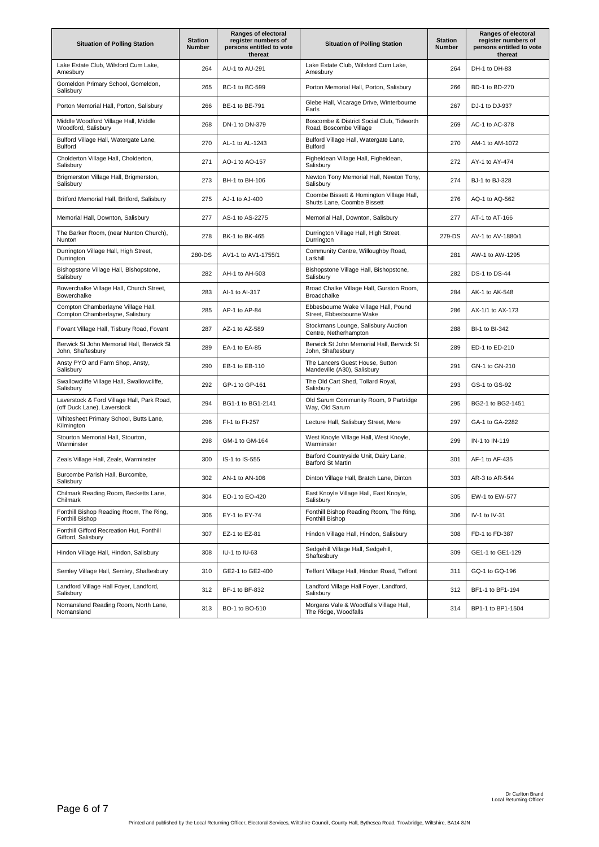| <b>Situation of Polling Station</b>                                       | <b>Station</b><br>Number | <b>Ranges of electoral</b><br>register numbers of<br>persons entitled to vote<br>thereat | <b>Situation of Polling Station</b>                                     | <b>Station</b><br><b>Number</b> | Ranges of electoral<br>register numbers of<br>persons entitled to vote<br>thereat |
|---------------------------------------------------------------------------|--------------------------|------------------------------------------------------------------------------------------|-------------------------------------------------------------------------|---------------------------------|-----------------------------------------------------------------------------------|
| Lake Estate Club, Wilsford Cum Lake,<br>Amesbury                          | 264                      | AU-1 to AU-291                                                                           | Lake Estate Club, Wilsford Cum Lake,<br>Amesbury                        | 264                             | DH-1 to DH-83                                                                     |
| Gomeldon Primary School, Gomeldon,<br>Salisbury                           | 265                      | BC-1 to BC-599                                                                           | Porton Memorial Hall, Porton, Salisbury                                 | 266                             | BD-1 to BD-270                                                                    |
| Porton Memorial Hall, Porton, Salisbury                                   | 266                      | BE-1 to BE-791                                                                           | Glebe Hall, Vicarage Drive, Winterbourne<br>Earls                       | 267                             | DJ-1 to DJ-937                                                                    |
| Middle Woodford Village Hall, Middle<br>Woodford, Salisbury               | 268                      | DN-1 to DN-379                                                                           | Boscombe & District Social Club, Tidworth<br>Road, Boscombe Village     | 269                             | AC-1 to AC-378                                                                    |
| Bulford Village Hall, Watergate Lane,<br><b>Bulford</b>                   | 270                      | AL-1 to AL-1243                                                                          | Bulford Village Hall, Watergate Lane,<br><b>Bulford</b>                 | 270                             | AM-1 to AM-1072                                                                   |
| Cholderton Village Hall, Cholderton,<br>Salisbury                         | 271                      | AO-1 to AO-157                                                                           | Figheldean Village Hall, Figheldean,<br>Salisbury                       | 272                             | AY-1 to AY-474                                                                    |
| Brigmerston Village Hall, Brigmerston,<br>Salisbury                       | 273                      | BH-1 to BH-106                                                                           | Newton Tony Memorial Hall, Newton Tony,<br>Salisbury                    | 274                             | BJ-1 to BJ-328                                                                    |
| Britford Memorial Hall, Britford, Salisbury                               | 275                      | AJ-1 to AJ-400                                                                           | Coombe Bissett & Homington Village Hall,<br>Shutts Lane, Coombe Bissett | 276                             | AQ-1 to AQ-562                                                                    |
| Memorial Hall, Downton, Salisbury                                         | 277                      | AS-1 to AS-2275                                                                          | Memorial Hall, Downton, Salisbury                                       | 277                             | AT-1 to AT-166                                                                    |
| The Barker Room, (near Nunton Church),<br>Nunton                          | 278                      | BK-1 to BK-465                                                                           | Durrington Village Hall, High Street,<br>Durrington                     | 279-DS                          | AV-1 to AV-1880/1                                                                 |
| Durrington Village Hall, High Street,<br>Durrington                       | 280-DS                   | AV1-1 to AV1-1755/1                                                                      | Community Centre, Willoughby Road,<br>Larkhill                          | 281                             | AW-1 to AW-1295                                                                   |
| Bishopstone Village Hall, Bishopstone,<br>Salisbury                       | 282                      | AH-1 to AH-503                                                                           | Bishopstone Village Hall, Bishopstone,<br>Salisbury                     | 282                             | DS-1 to DS-44                                                                     |
| Bowerchalke Village Hall, Church Street,<br>Bowerchalke                   | 283                      | Al-1 to Al-317                                                                           | Broad Chalke Village Hall, Gurston Room,<br><b>Broadchalke</b>          | 284                             | AK-1 to AK-548                                                                    |
| Compton Chamberlayne Village Hall,<br>Compton Chamberlayne, Salisbury     | 285                      | AP-1 to AP-84                                                                            | Ebbesbourne Wake Village Hall, Pound<br>Street, Ebbesbourne Wake        | 286                             | AX-1/1 to AX-173                                                                  |
| Fovant Village Hall, Tisbury Road, Fovant                                 | 287                      | AZ-1 to AZ-589                                                                           | Stockmans Lounge, Salisbury Auction<br>Centre, Netherhampton            | 288                             | BI-1 to BI-342                                                                    |
| Berwick St John Memorial Hall, Berwick St<br>John, Shaftesbury            | 289                      | EA-1 to EA-85                                                                            | Berwick St John Memorial Hall, Berwick St<br>John, Shaftesbury          | 289                             | ED-1 to ED-210                                                                    |
| Ansty PYO and Farm Shop, Ansty,<br>Salisbury                              | 290                      | EB-1 to EB-110                                                                           | The Lancers Guest House, Sutton<br>Mandeville (A30), Salisbury          | 291                             | GN-1 to GN-210                                                                    |
| Swallowcliffe Village Hall, Swallowcliffe,<br>Salisbury                   | 292                      | GP-1 to GP-161                                                                           | The Old Cart Shed, Tollard Royal,<br>Salisbury                          | 293                             | GS-1 to GS-92                                                                     |
| Laverstock & Ford Village Hall, Park Road,<br>(off Duck Lane), Laverstock | 294                      | BG1-1 to BG1-2141                                                                        | Old Sarum Community Room, 9 Partridge<br>Way, Old Sarum                 | 295                             | BG2-1 to BG2-1451                                                                 |
| Whitesheet Primary School, Butts Lane,<br>Kilmington                      | 296                      | FI-1 to FI-257                                                                           | Lecture Hall, Salisbury Street, Mere                                    | 297                             | GA-1 to GA-2282                                                                   |
| Stourton Memorial Hall, Stourton,<br>Warminster                           | 298                      | GM-1 to GM-164                                                                           | West Knoyle Village Hall, West Knoyle,<br>Warminster                    | 299                             | IN-1 to IN-119                                                                    |
| Zeals Village Hall, Zeals, Warminster                                     | 300                      | IS-1 to IS-555                                                                           | Barford Countryside Unit, Dairy Lane,<br><b>Barford St Martin</b>       | 301                             | AF-1 to AF-435                                                                    |
| Burcombe Parish Hall, Burcombe,<br>Salisbury                              | 302                      | AN-1 to AN-106                                                                           | Dinton Village Hall, Bratch Lane, Dinton                                | 303                             | AR-3 to AR-544                                                                    |
| Chilmark Reading Room, Becketts Lane,<br>Chilmark                         | 304                      | EO-1 to EO-420                                                                           | East Knoyle Village Hall, East Knoyle,<br>Salisbury                     | 305                             | EW-1 to EW-577                                                                    |
| Fonthill Bishop Reading Room, The Ring,<br><b>Fonthill Bishop</b>         | 306                      | EY-1 to EY-74                                                                            | Fonthill Bishop Reading Room, The Ring,<br>Fonthill Bishop              | 306                             | IV-1 to IV-31                                                                     |
| Fonthill Gifford Recreation Hut, Fonthill<br>Gifford, Salisbury           | 307                      | EZ-1 to EZ-81                                                                            | Hindon Village Hall, Hindon, Salisbury                                  | 308                             | FD-1 to FD-387                                                                    |
| Hindon Village Hall, Hindon, Salisbury                                    | 308                      | IU-1 to IU-63                                                                            | Sedgehill Village Hall, Sedgehill,<br>Shaftesbury                       | 309                             | GE1-1 to GE1-129                                                                  |
| Semley Village Hall, Semley, Shaftesbury                                  | 310                      | GE2-1 to GE2-400                                                                         | Teffont Village Hall, Hindon Road, Teffont                              | 311                             | GQ-1 to GQ-196                                                                    |
| Landford Village Hall Foyer, Landford,<br>Salisbury                       | 312                      | BF-1 to BF-832                                                                           | Landford Village Hall Foyer, Landford,<br>Salisbury                     | 312                             | BF1-1 to BF1-194                                                                  |
| Nomansland Reading Room, North Lane,<br>Nomansland                        | 313                      | BO-1 to BO-510                                                                           | Morgans Vale & Woodfalls Village Hall,<br>The Ridge, Woodfalls          | 314                             | BP1-1 to BP1-1504                                                                 |